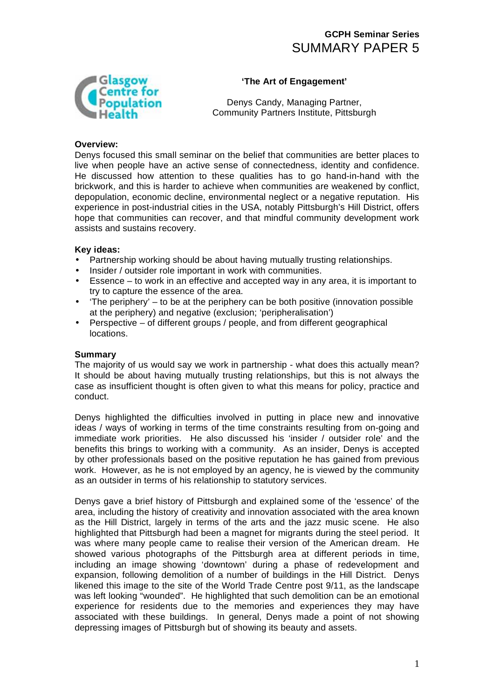# **GCPH Seminar Series**  SUMMARY PAPER 5



### **'The Art of Engagement'**

Denys Candy, Managing Partner, Community Partners Institute, Pittsburgh

#### **Overview:**

Denys focused this small seminar on the belief that communities are better places to live when people have an active sense of connectedness, identity and confidence. He discussed how attention to these qualities has to go hand-in-hand with the brickwork, and this is harder to achieve when communities are weakened by conflict, depopulation, economic decline, environmental neglect or a negative reputation. His experience in post-industrial cities in the USA, notably Pittsburgh's Hill District, offers hope that communities can recover, and that mindful community development work assists and sustains recovery.

#### **Key ideas:**

- Partnership working should be about having mutually trusting relationships.
- Insider / outsider role important in work with communities.
- Essence to work in an effective and accepted way in any area, it is important to try to capture the essence of the area.
- 'The periphery' to be at the periphery can be both positive (innovation possible at the periphery) and negative (exclusion; 'peripheralisation')
- Perspective of different groups / people, and from different geographical locations.

#### **Summary**

The majority of us would say we work in partnership - what does this actually mean? It should be about having mutually trusting relationships, but this is not always the case as insufficient thought is often given to what this means for policy, practice and conduct.

Denys highlighted the difficulties involved in putting in place new and innovative ideas / ways of working in terms of the time constraints resulting from on-going and immediate work priorities. He also discussed his 'insider / outsider role' and the benefits this brings to working with a community. As an insider, Denys is accepted by other professionals based on the positive reputation he has gained from previous work. However, as he is not employed by an agency, he is viewed by the community as an outsider in terms of his relationship to statutory services.

Denys gave a brief history of Pittsburgh and explained some of the 'essence' of the area, including the history of creativity and innovation associated with the area known as the Hill District, largely in terms of the arts and the jazz music scene. He also highlighted that Pittsburgh had been a magnet for migrants during the steel period. It was where many people came to realise their version of the American dream. He showed various photographs of the Pittsburgh area at different periods in time, including an image showing 'downtown' during a phase of redevelopment and expansion, following demolition of a number of buildings in the Hill District. Denys likened this image to the site of the World Trade Centre post 9/11, as the landscape was left looking "wounded". He highlighted that such demolition can be an emotional experience for residents due to the memories and experiences they may have associated with these buildings. In general, Denys made a point of not showing depressing images of Pittsburgh but of showing its beauty and assets.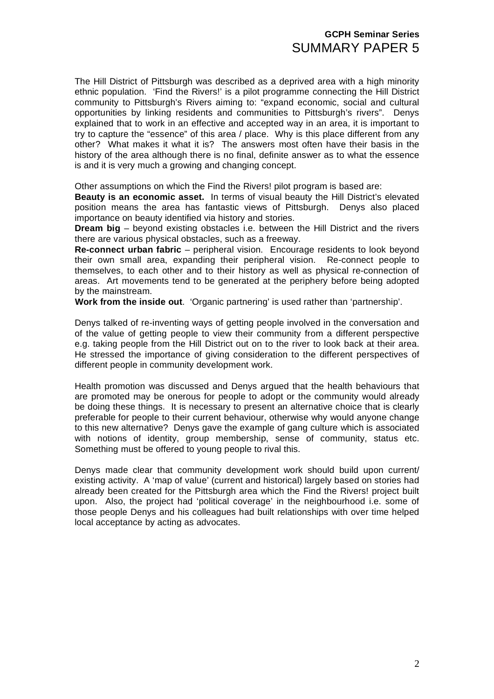## **GCPH Seminar Series**  SUMMARY PAPER 5

The Hill District of Pittsburgh was described as a deprived area with a high minority ethnic population. 'Find the Rivers!' is a pilot programme connecting the Hill District community to Pittsburgh's Rivers aiming to: "expand economic, social and cultural opportunities by linking residents and communities to Pittsburgh's rivers". Denys explained that to work in an effective and accepted way in an area, it is important to try to capture the "essence" of this area / place. Why is this place different from any other? What makes it what it is? The answers most often have their basis in the history of the area although there is no final, definite answer as to what the essence is and it is very much a growing and changing concept.

Other assumptions on which the Find the Rivers! pilot program is based are:

**Beauty is an economic asset.** In terms of visual beauty the Hill District's elevated position means the area has fantastic views of Pittsburgh. Denys also placed importance on beauty identified via history and stories.

**Dream big** – beyond existing obstacles i.e. between the Hill District and the rivers there are various physical obstacles, such as a freeway.

**Re-connect urban fabric** – peripheral vision. Encourage residents to look beyond their own small area, expanding their peripheral vision. Re-connect people to themselves, to each other and to their history as well as physical re-connection of areas. Art movements tend to be generated at the periphery before being adopted by the mainstream.

**Work from the inside out**. 'Organic partnering' is used rather than 'partnership'.

Denys talked of re-inventing ways of getting people involved in the conversation and of the value of getting people to view their community from a different perspective e.g. taking people from the Hill District out on to the river to look back at their area. He stressed the importance of giving consideration to the different perspectives of different people in community development work.

Health promotion was discussed and Denys argued that the health behaviours that are promoted may be onerous for people to adopt or the community would already be doing these things. It is necessary to present an alternative choice that is clearly preferable for people to their current behaviour, otherwise why would anyone change to this new alternative? Denys gave the example of gang culture which is associated with notions of identity, group membership, sense of community, status etc. Something must be offered to young people to rival this.

Denys made clear that community development work should build upon current/ existing activity. A 'map of value' (current and historical) largely based on stories had already been created for the Pittsburgh area which the Find the Rivers! project built upon. Also, the project had 'political coverage' in the neighbourhood i.e. some of those people Denys and his colleagues had built relationships with over time helped local acceptance by acting as advocates.